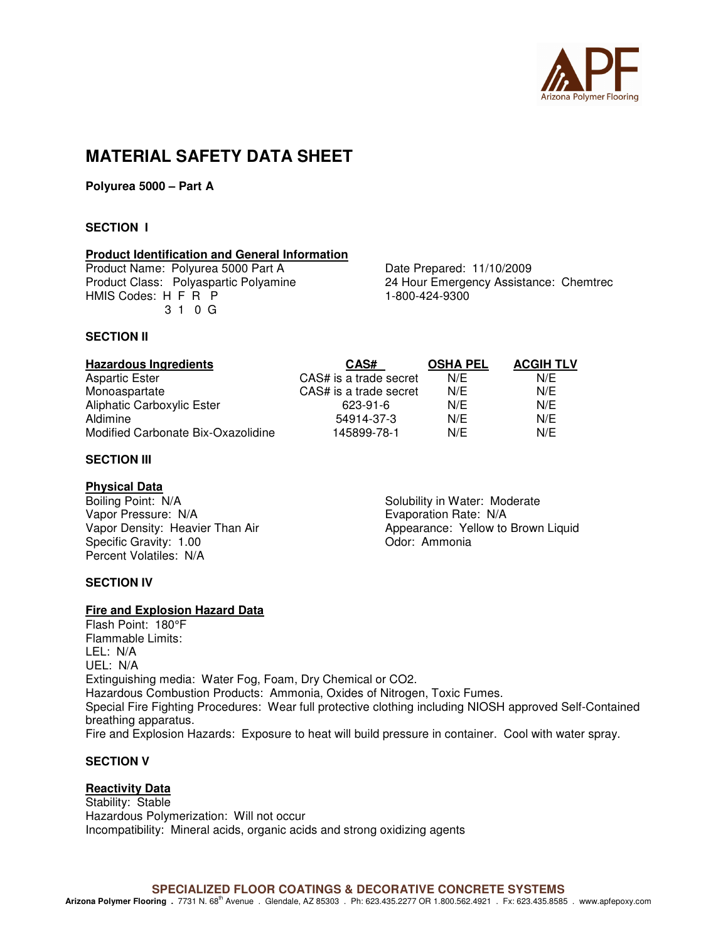

# **MATERIAL SAFETY DATA SHEET**

**Polyurea 5000 – Part A** 

# **SECTION I**

# **Product Identification and General Information**

Product Name: Polyurea 5000 Part A<br>
Product Class: Polyaspartic Polyamine<br>
24 Hour Emergency Assistal HMIS Codes: H F R P 3 1 0 G

24 Hour Emergency Assistance: Chemtrec 1-800-424-9300

#### **SECTION II**

| <b>Hazardous Ingredients</b>       | CAS#                   | <b>OSHA PEL</b> | <b>ACGIH TLV</b> |
|------------------------------------|------------------------|-----------------|------------------|
| Aspartic Ester                     | CAS# is a trade secret | N/E             | N/E              |
| Monoaspartate                      | CAS# is a trade secret | N/E             | N/E              |
| <b>Aliphatic Carboxylic Ester</b>  | 623-91-6               | N/E             | N/E              |
| Aldimine                           | 54914-37-3             | N/E             | N/E              |
| Modified Carbonate Bix-Oxazolidine | 145899-78-1            | N/E             | N/E              |

# **SECTION III**

#### **Physical Data**

Boiling Point: N/A Solubility in Water: Moderate Vapor Pressure: N/A<br>
Vapor Density: Heavier Than Air<br>
Vapor Density: Heavier Than Air<br>
Vapor Density: Heavier Than Air<br>
Vapor Appearance: Yellow to Specific Gravity: 1.00 Percent Volatiles: N/A

Appearance: Yellow to Brown Liquid Odor: Ammonia

#### **SECTION IV**

#### **Fire and Explosion Hazard Data**

Flash Point: 180°F Flammable Limits: LEL: N/A UEL: N/A Extinguishing media: Water Fog, Foam, Dry Chemical or CO2. Hazardous Combustion Products: Ammonia, Oxides of Nitrogen, Toxic Fumes. Special Fire Fighting Procedures: Wear full protective clothing including NIOSH approved Self-Contained breathing apparatus. Fire and Explosion Hazards: Exposure to heat will build pressure in container. Cool with water spray.

# **SECTION V**

#### **Reactivity Data**

Stability: Stable Hazardous Polymerization: Will not occur Incompatibility: Mineral acids, organic acids and strong oxidizing agents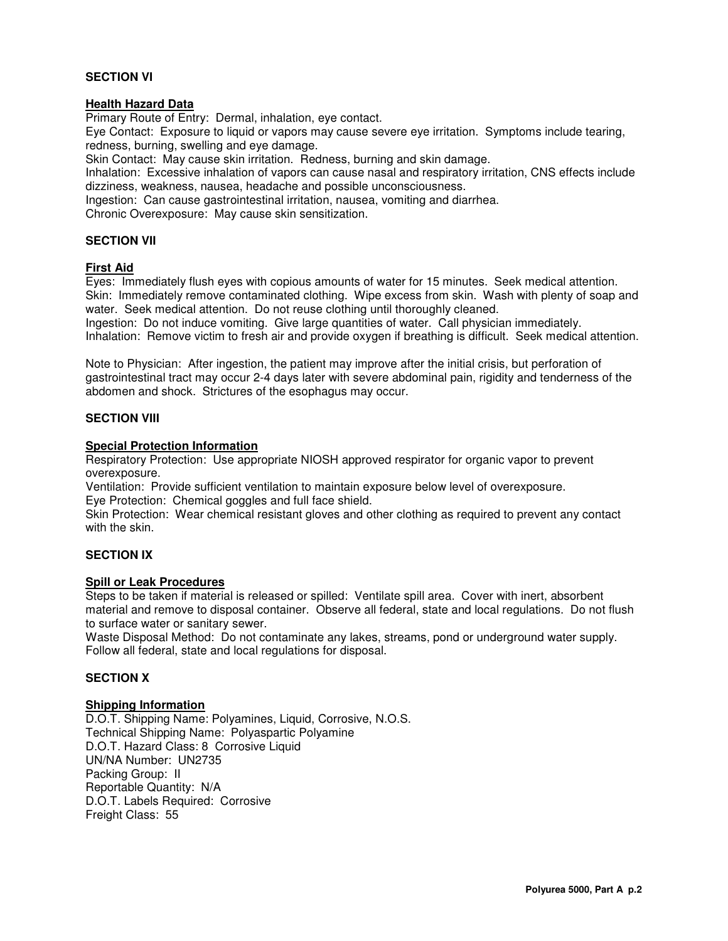#### **SECTION VI**

### **Health Hazard Data**

Primary Route of Entry: Dermal, inhalation, eye contact.

Eye Contact: Exposure to liquid or vapors may cause severe eye irritation. Symptoms include tearing, redness, burning, swelling and eye damage.

Skin Contact: May cause skin irritation. Redness, burning and skin damage.

Inhalation: Excessive inhalation of vapors can cause nasal and respiratory irritation, CNS effects include dizziness, weakness, nausea, headache and possible unconsciousness.

Ingestion: Can cause gastrointestinal irritation, nausea, vomiting and diarrhea.

Chronic Overexposure: May cause skin sensitization.

#### **SECTION VII**

#### **First Aid**

Eyes: Immediately flush eyes with copious amounts of water for 15 minutes. Seek medical attention. Skin: Immediately remove contaminated clothing. Wipe excess from skin. Wash with plenty of soap and water. Seek medical attention. Do not reuse clothing until thoroughly cleaned.

Ingestion: Do not induce vomiting. Give large quantities of water. Call physician immediately. Inhalation: Remove victim to fresh air and provide oxygen if breathing is difficult. Seek medical attention.

Note to Physician: After ingestion, the patient may improve after the initial crisis, but perforation of gastrointestinal tract may occur 2-4 days later with severe abdominal pain, rigidity and tenderness of the abdomen and shock. Strictures of the esophagus may occur.

# **SECTION VIII**

# **Special Protection Information**

Respiratory Protection: Use appropriate NIOSH approved respirator for organic vapor to prevent overexposure.

Ventilation: Provide sufficient ventilation to maintain exposure below level of overexposure. Eye Protection: Chemical goggles and full face shield.

Skin Protection: Wear chemical resistant gloves and other clothing as required to prevent any contact with the skin.

# **SECTION IX**

#### **Spill or Leak Procedures**

Steps to be taken if material is released or spilled: Ventilate spill area. Cover with inert, absorbent material and remove to disposal container. Observe all federal, state and local regulations. Do not flush to surface water or sanitary sewer.

Waste Disposal Method: Do not contaminate any lakes, streams, pond or underground water supply. Follow all federal, state and local regulations for disposal.

#### **SECTION X**

#### **Shipping Information**

D.O.T. Shipping Name: Polyamines, Liquid, Corrosive, N.O.S. Technical Shipping Name: Polyaspartic Polyamine D.O.T. Hazard Class: 8 Corrosive Liquid UN/NA Number: UN2735 Packing Group: II Reportable Quantity: N/A D.O.T. Labels Required: Corrosive Freight Class: 55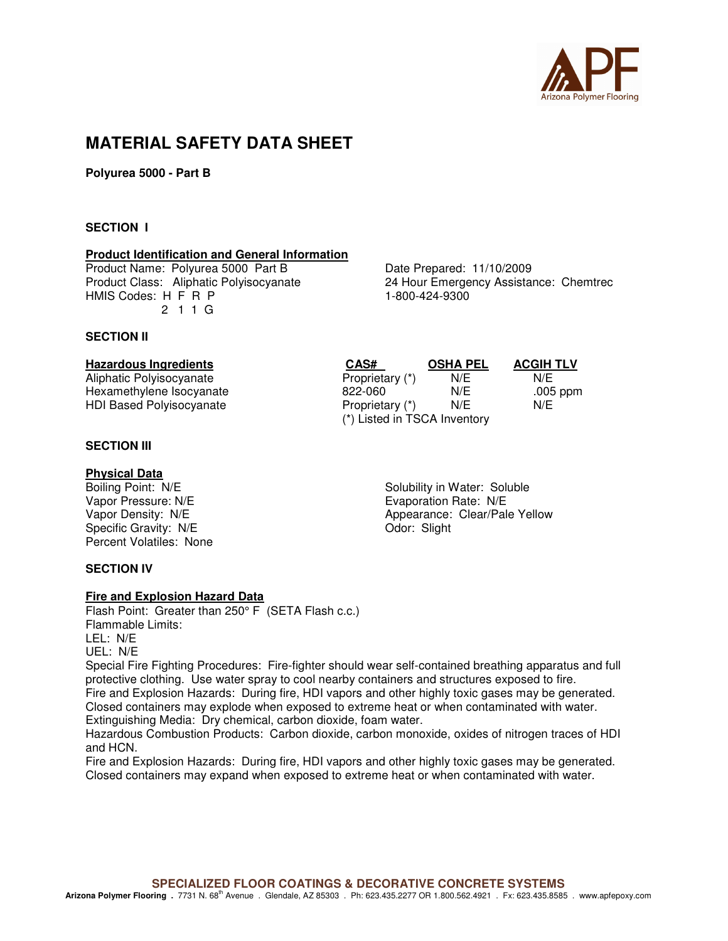

# **MATERIAL SAFETY DATA SHEET**

**Polyurea 5000 - Part B** 

#### **SECTION I**

#### **Product Identification and General Information**

Product Name: Polyurea 5000 Part B<br>
Product Class: Aliphatic Polyisocyanate 24 Hour Emergency Assistal HMIS Codes: H F R P 1-800-424-9300 2 1 1 G

24 Hour Emergency Assistance: Chemtrec

#### **SECTION II**

# **Hazardous Ingredients CAS# OSHA PEL ACGIH TLV**

Aliphatic Polyisocyanate **Proprietary (\*)** N/E N/E N/E Hexamethylene Isocyanate 822-060 N/E .005 ppm HDI Based Polyisocyanate

#### **SECTION III**

#### **Physical Data**

Specific Gravity: N/E Percent Volatiles: None

**SECTION IV** 

#### **Fire and Explosion Hazard Data**

Flash Point: Greater than 250° F (SETA Flash c.c.) Flammable Limits: LEL: N/E UEL: N/E

Special Fire Fighting Procedures: Fire-fighter should wear self-contained breathing apparatus and full protective clothing. Use water spray to cool nearby containers and structures exposed to fire. Fire and Explosion Hazards: During fire, HDI vapors and other highly toxic gases may be generated. Closed containers may explode when exposed to extreme heat or when contaminated with water. Extinguishing Media: Dry chemical, carbon dioxide, foam water.

Hazardous Combustion Products: Carbon dioxide, carbon monoxide, oxides of nitrogen traces of HDI and HCN.

Fire and Explosion Hazards: During fire, HDI vapors and other highly toxic gases may be generated. Closed containers may expand when exposed to extreme heat or when contaminated with water.

Boiling Point: N/E Solubility in Water: Soluble Vapor Pressure: N/E <br>
Units Communicate: N/E Evaporation Rate: N/E Vapor Density: N/E<br>
Specific Gravity: N/E<br>
Color: Slight Clear/Pale Yellow

(\*) Listed in TSCA Inventory